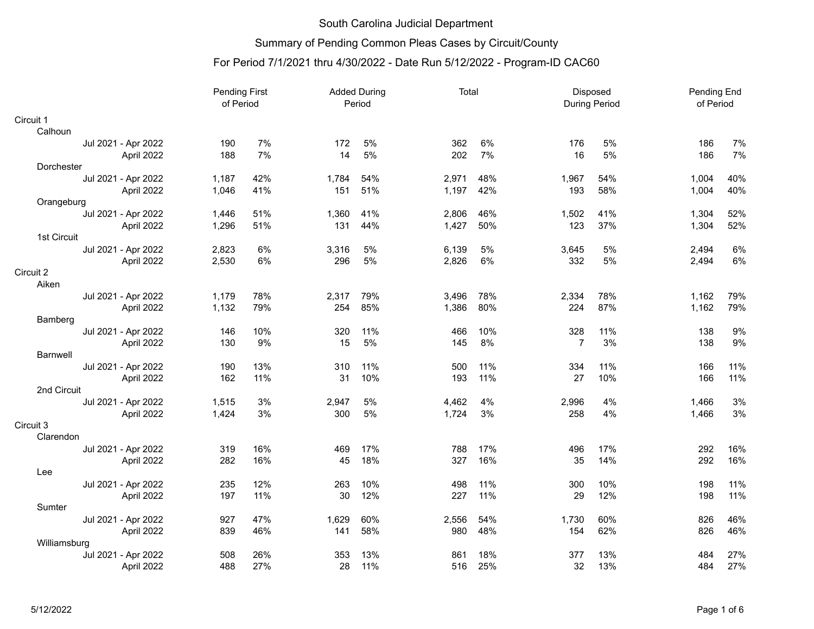# Summary of Pending Common Pleas Cases by Circuit/County

| of Period<br>Period<br><b>During Period</b>                                         | Pending End<br>of Period |       |
|-------------------------------------------------------------------------------------|--------------------------|-------|
| Circuit 1                                                                           |                          |       |
| Calhoun                                                                             |                          |       |
| 7%<br>6%<br>5%<br>362<br>5%<br>Jul 2021 - Apr 2022<br>190<br>172<br>176             | 186                      | 7%    |
| 7%<br>14<br>5%<br>7%<br>5%<br>188<br>202<br>16<br>April 2022                        | 186                      | 7%    |
| Dorchester                                                                          |                          |       |
| 48%<br>Jul 2021 - Apr 2022<br>42%<br>1,784<br>54%<br>2,971<br>1,967<br>54%<br>1,187 | 1,004                    | 40%   |
| 41%<br>51%<br>42%<br>58%<br>April 2022<br>1,046<br>151<br>1,197<br>193              | 1,004                    | 40%   |
| Orangeburg                                                                          |                          |       |
| 51%<br>Jul 2021 - Apr 2022<br>1,360<br>41%<br>2,806<br>46%<br>1,502<br>41%<br>1,446 | 1,304                    | 52%   |
| 51%<br>131<br>44%<br>1,427<br>50%<br>123<br>37%<br>April 2022<br>1,296              | 1,304                    | 52%   |
| 1st Circuit                                                                         |                          |       |
| 6%<br>5%<br>5%<br>5%<br>Jul 2021 - Apr 2022<br>2,823<br>3,316<br>6,139<br>3,645     | 2,494                    | 6%    |
| 5%<br>2,530<br>6%<br>296<br>6%<br>5%<br>April 2022<br>2,826<br>332                  | 2,494                    | 6%    |
| Circuit 2                                                                           |                          |       |
| Aiken                                                                               |                          |       |
| 78%<br>78%<br>Jul 2021 - Apr 2022<br>1,179<br>2,317<br>79%<br>78%<br>2,334<br>3,496 | 1,162                    | 79%   |
| 87%<br>85%<br>80%<br>April 2022<br>1,132<br>79%<br>254<br>1,386<br>224              | 1,162                    | 79%   |
| Bamberg                                                                             |                          |       |
| 10%<br>11%<br>10%<br>328<br>11%<br>Jul 2021 - Apr 2022<br>146<br>320<br>466         | 138                      | $9\%$ |
| 9%<br>15<br>5%<br>8%<br>$\overline{7}$<br>3%<br>April 2022<br>130<br>145            | 138                      | 9%    |
| <b>Barnwell</b>                                                                     |                          |       |
| 13%<br>190<br>310<br>11%<br>500<br>11%<br>334<br>11%<br>Jul 2021 - Apr 2022         | 166                      | 11%   |
| 10%<br>11%<br>April 2022<br>162<br>11%<br>31<br>193<br>27<br>10%                    | 166                      | 11%   |
| 2nd Circuit                                                                         |                          |       |
| 3%<br>4%<br>4%<br>Jul 2021 - Apr 2022<br>1,515<br>2,947<br>5%<br>4,462<br>2,996     | 1,466                    | 3%    |
| 3%<br>5%<br>3%<br>4%<br>1,424<br>300<br>1,724<br>258<br>April 2022                  | 1,466                    | 3%    |
| Circuit 3                                                                           |                          |       |
| Clarendon                                                                           |                          |       |
| 16%<br>17%<br>Jul 2021 - Apr 2022<br>319<br>469<br>17%<br>788<br>496<br>17%         | 292                      | 16%   |
| 18%<br>16%<br>April 2022<br>282<br>16%<br>327<br>14%<br>45<br>35                    | 292                      | 16%   |
| Lee                                                                                 |                          |       |
| 235<br>12%<br>10%<br>498<br>11%<br>300<br>10%<br>Jul 2021 - Apr 2022<br>263         | 198                      | 11%   |
| April 2022<br>197<br>11%<br>30<br>12%<br>11%<br>12%<br>227<br>29                    | 198                      | 11%   |
| Sumter                                                                              |                          |       |
| 47%<br>927<br>60%<br>54%<br>60%<br>Jul 2021 - Apr 2022<br>1,629<br>2,556<br>1,730   | 826                      | 46%   |
| 58%<br>62%<br>April 2022<br>839<br>46%<br>141<br>980<br>48%<br>154                  | 826                      | 46%   |
| Williamsburg                                                                        |                          |       |
| Jul 2021 - Apr 2022<br>508<br>26%<br>353<br>13%<br>18%<br>377<br>13%<br>861         | 484                      | 27%   |
| 27%<br>13%<br>488<br>28<br>11%<br>25%<br>32<br>April 2022<br>516                    | 484                      | 27%   |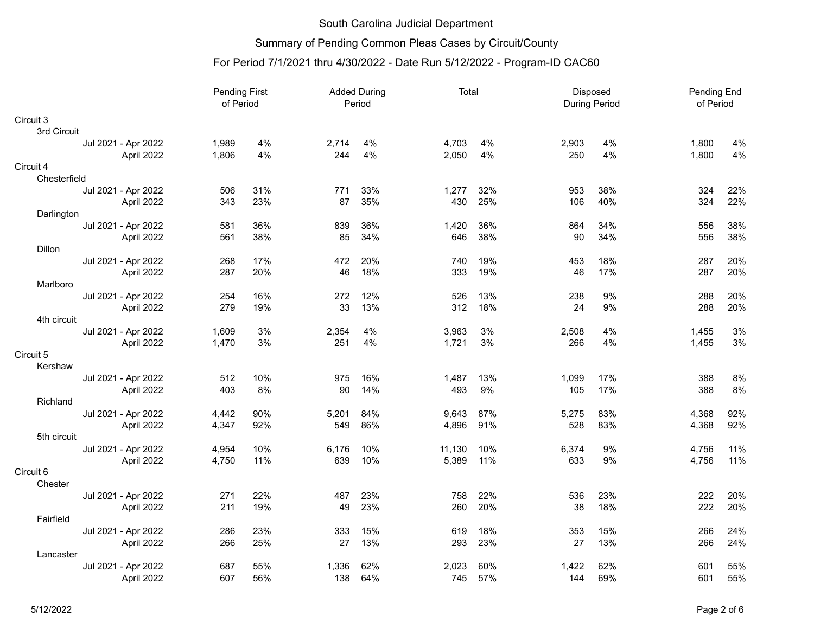# Summary of Pending Common Pleas Cases by Circuit/County

|                        | <b>Pending First</b><br>of Period |     |       | <b>Added During</b><br>Period | Total  |     |       | Disposed<br><b>During Period</b> |       | Pending End<br>of Period |
|------------------------|-----------------------------------|-----|-------|-------------------------------|--------|-----|-------|----------------------------------|-------|--------------------------|
| Circuit 3              |                                   |     |       |                               |        |     |       |                                  |       |                          |
| 3rd Circuit            |                                   |     |       |                               |        |     |       |                                  |       |                          |
| Jul 2021 - Apr 2022    | 1,989                             | 4%  | 2,714 | 4%                            | 4,703  | 4%  | 2,903 | 4%                               | 1,800 | 4%                       |
| April 2022             | 1,806                             | 4%  | 244   | 4%                            | 2,050  | 4%  | 250   | 4%                               | 1,800 | 4%                       |
| Circuit 4              |                                   |     |       |                               |        |     |       |                                  |       |                          |
| Chesterfield           |                                   |     |       |                               |        |     |       |                                  |       |                          |
| Jul 2021 - Apr 2022    | 506                               | 31% | 771   | 33%                           | 1,277  | 32% | 953   | 38%                              | 324   | 22%                      |
| April 2022             | 343                               | 23% | 87    | 35%                           | 430    | 25% | 106   | 40%                              | 324   | 22%                      |
| Darlington             |                                   |     |       |                               |        |     |       |                                  |       |                          |
| Jul 2021 - Apr 2022    | 581                               | 36% | 839   | 36%                           | 1,420  | 36% | 864   | 34%                              | 556   | 38%                      |
| April 2022             | 561                               | 38% | 85    | 34%                           | 646    | 38% | 90    | 34%                              | 556   | 38%                      |
| <b>Dillon</b>          |                                   |     |       |                               |        |     |       |                                  |       |                          |
| Jul 2021 - Apr 2022    | 268                               | 17% | 472   | 20%                           | 740    | 19% | 453   | 18%                              | 287   | 20%                      |
| April 2022<br>Marlboro | 287                               | 20% | 46    | 18%                           | 333    | 19% | 46    | 17%                              | 287   | 20%                      |
| Jul 2021 - Apr 2022    | 254                               | 16% | 272   | 12%                           | 526    | 13% | 238   | 9%                               | 288   | 20%                      |
| April 2022             | 279                               | 19% | 33    | 13%                           | 312    | 18% | 24    | 9%                               | 288   | 20%                      |
| 4th circuit            |                                   |     |       |                               |        |     |       |                                  |       |                          |
| Jul 2021 - Apr 2022    | 1,609                             | 3%  | 2,354 | 4%                            | 3,963  | 3%  | 2,508 | 4%                               | 1,455 | 3%                       |
| April 2022             | 1,470                             | 3%  | 251   | 4%                            | 1,721  | 3%  | 266   | 4%                               | 1,455 | 3%                       |
| Circuit 5              |                                   |     |       |                               |        |     |       |                                  |       |                          |
| Kershaw                |                                   |     |       |                               |        |     |       |                                  |       |                          |
| Jul 2021 - Apr 2022    | 512                               | 10% | 975   | 16%                           | 1,487  | 13% | 1,099 | 17%                              | 388   | 8%                       |
| April 2022             | 403                               | 8%  | 90    | 14%                           | 493    | 9%  | 105   | 17%                              | 388   | 8%                       |
| Richland               |                                   |     |       |                               |        |     |       |                                  |       |                          |
| Jul 2021 - Apr 2022    | 4,442                             | 90% | 5,201 | 84%                           | 9,643  | 87% | 5,275 | 83%                              | 4,368 | 92%                      |
| April 2022             | 4,347                             | 92% | 549   | 86%                           | 4,896  | 91% | 528   | 83%                              | 4,368 | 92%                      |
| 5th circuit            |                                   |     |       |                               |        |     |       |                                  |       |                          |
| Jul 2021 - Apr 2022    | 4,954                             | 10% | 6,176 | 10%                           | 11,130 | 10% | 6,374 | 9%                               | 4,756 | 11%                      |
| April 2022             | 4,750                             | 11% | 639   | 10%                           | 5,389  | 11% | 633   | 9%                               | 4,756 | 11%                      |
| Circuit 6              |                                   |     |       |                               |        |     |       |                                  |       |                          |
| Chester                |                                   |     |       |                               |        |     |       |                                  |       |                          |
| Jul 2021 - Apr 2022    | 271                               | 22% | 487   | 23%                           | 758    | 22% | 536   | 23%                              | 222   | 20%                      |
| April 2022             | 211                               | 19% | 49    | 23%                           | 260    | 20% | 38    | 18%                              | 222   | 20%                      |
| Fairfield              |                                   |     |       |                               |        |     |       |                                  |       |                          |
| Jul 2021 - Apr 2022    | 286                               | 23% | 333   | 15%                           | 619    | 18% | 353   | 15%                              | 266   | 24%                      |
| April 2022             | 266                               | 25% | 27    | 13%                           | 293    | 23% | 27    | 13%                              | 266   | 24%                      |
| Lancaster              |                                   |     |       |                               |        |     |       |                                  |       |                          |
| Jul 2021 - Apr 2022    | 687                               | 55% | 1,336 | 62%                           | 2,023  | 60% | 1,422 | 62%                              | 601   | 55%                      |
| April 2022             | 607                               | 56% | 138   | 64%                           | 745    | 57% | 144   | 69%                              | 601   | 55%                      |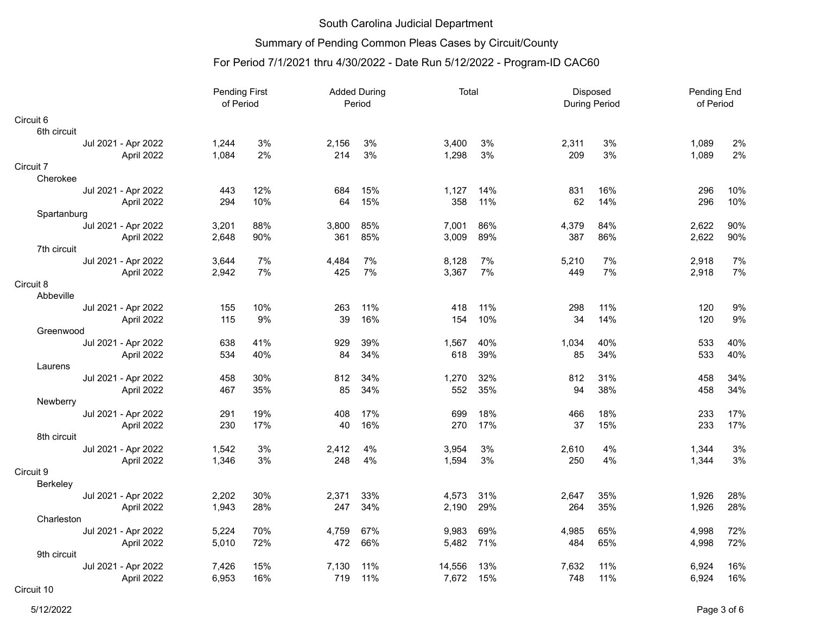#### Summary of Pending Common Pleas Cases by Circuit/County

## For Period 7/1/2021 thru 4/30/2022 - Date Run 5/12/2022 - Program-ID CAC60

|                           |       | Pending First<br><b>Added During</b><br>of Period<br>Period |              | Total      |        |            |              | Disposed<br><b>During Period</b> | Pending End<br>of Period |            |
|---------------------------|-------|-------------------------------------------------------------|--------------|------------|--------|------------|--------------|----------------------------------|--------------------------|------------|
| Circuit 6                 |       |                                                             |              |            |        |            |              |                                  |                          |            |
| 6th circuit               |       |                                                             |              |            |        |            |              |                                  |                          |            |
| Jul 2021 - Apr 2022       | 1,244 | 3%                                                          | 2,156        | 3%         | 3,400  | 3%         | 2,311        | 3%                               | 1,089                    | 2%         |
| April 2022                | 1,084 | 2%                                                          | 214          | 3%         | 1,298  | 3%         | 209          | 3%                               | 1,089                    | 2%         |
| Circuit 7                 |       |                                                             |              |            |        |            |              |                                  |                          |            |
| Cherokee                  |       |                                                             |              |            |        |            |              |                                  |                          |            |
| Jul 2021 - Apr 2022       | 443   | 12%                                                         | 684          | 15%        | 1,127  | 14%        | 831          | 16%                              | 296                      | 10%        |
| April 2022                | 294   | 10%                                                         | 64           | 15%        | 358    | 11%        | 62           | 14%                              | 296                      | 10%        |
| Spartanburg               |       |                                                             |              |            |        |            |              |                                  |                          |            |
| Jul 2021 - Apr 2022       | 3,201 | 88%<br>90%                                                  | 3,800<br>361 | 85%<br>85% | 7,001  | 86%<br>89% | 4,379<br>387 | 84%<br>86%                       | 2,622<br>2,622           | 90%<br>90% |
| April 2022<br>7th circuit | 2,648 |                                                             |              |            | 3,009  |            |              |                                  |                          |            |
| Jul 2021 - Apr 2022       | 3,644 | 7%                                                          | 4,484        | 7%         | 8,128  | 7%         | 5,210        | 7%                               | 2,918                    | 7%         |
| April 2022                | 2,942 | 7%                                                          | 425          | 7%         | 3,367  | 7%         | 449          | 7%                               | 2,918                    | 7%         |
| Circuit 8                 |       |                                                             |              |            |        |            |              |                                  |                          |            |
| Abbeville                 |       |                                                             |              |            |        |            |              |                                  |                          |            |
| Jul 2021 - Apr 2022       | 155   | 10%                                                         | 263          | 11%        | 418    | 11%        | 298          | 11%                              | 120                      | 9%         |
| April 2022                | 115   | 9%                                                          | 39           | 16%        | 154    | 10%        | 34           | 14%                              | 120                      | 9%         |
| Greenwood                 |       |                                                             |              |            |        |            |              |                                  |                          |            |
| Jul 2021 - Apr 2022       | 638   | 41%                                                         | 929          | 39%        | 1,567  | 40%        | 1,034        | 40%                              | 533                      | 40%        |
| April 2022                | 534   | 40%                                                         | 84           | 34%        | 618    | 39%        | 85           | 34%                              | 533                      | 40%        |
| Laurens                   |       |                                                             |              |            |        |            |              |                                  |                          |            |
| Jul 2021 - Apr 2022       | 458   | 30%                                                         | 812          | 34%        | 1,270  | 32%        | 812          | 31%                              | 458                      | 34%        |
| April 2022                | 467   | 35%                                                         | 85           | 34%        | 552    | 35%        | 94           | 38%                              | 458                      | 34%        |
| Newberry                  |       |                                                             |              |            |        |            |              |                                  |                          |            |
| Jul 2021 - Apr 2022       | 291   | 19%                                                         | 408          | 17%        | 699    | 18%        | 466          | 18%                              | 233                      | 17%        |
| April 2022                | 230   | 17%                                                         | 40           | 16%        | 270    | 17%        | 37           | 15%                              | 233                      | 17%        |
| 8th circuit               |       |                                                             |              |            |        |            |              |                                  |                          |            |
| Jul 2021 - Apr 2022       | 1,542 | 3%                                                          | 2,412        | 4%         | 3,954  | 3%         | 2,610        | 4%                               | 1,344                    | 3%         |
| April 2022                | 1,346 | 3%                                                          | 248          | 4%         | 1,594  | 3%         | 250          | 4%                               | 1,344                    | 3%         |
| Circuit 9                 |       |                                                             |              |            |        |            |              |                                  |                          |            |
| Berkeley                  |       |                                                             |              |            |        |            |              |                                  |                          |            |
| Jul 2021 - Apr 2022       | 2,202 | 30%                                                         | 2,371        | 33%        | 4,573  | 31%        | 2,647        | 35%                              | 1,926                    | 28%        |
| April 2022                | 1,943 | 28%                                                         | 247          | 34%        | 2,190  | 29%        | 264          | 35%                              | 1,926                    | 28%        |
| Charleston                |       |                                                             |              |            |        |            |              |                                  |                          |            |
| Jul 2021 - Apr 2022       | 5,224 | 70%                                                         | 4,759        | 67%        | 9,983  | 69%        | 4,985        | 65%                              | 4,998                    | 72%        |
| April 2022<br>9th circuit | 5,010 | 72%                                                         | 472          | 66%        | 5,482  | 71%        | 484          | 65%                              | 4,998                    | 72%        |
| Jul 2021 - Apr 2022       | 7,426 | 15%                                                         | 7,130        | 11%        | 14,556 | 13%        | 7,632        | 11%                              | 6,924                    | 16%        |
| April 2022                | 6,953 | 16%                                                         | 719          | 11%        | 7,672  | 15%        | 748          | 11%                              | 6,924                    | 16%        |
| $\sim$ $\sim$             |       |                                                             |              |            |        |            |              |                                  |                          |            |

Circuit 10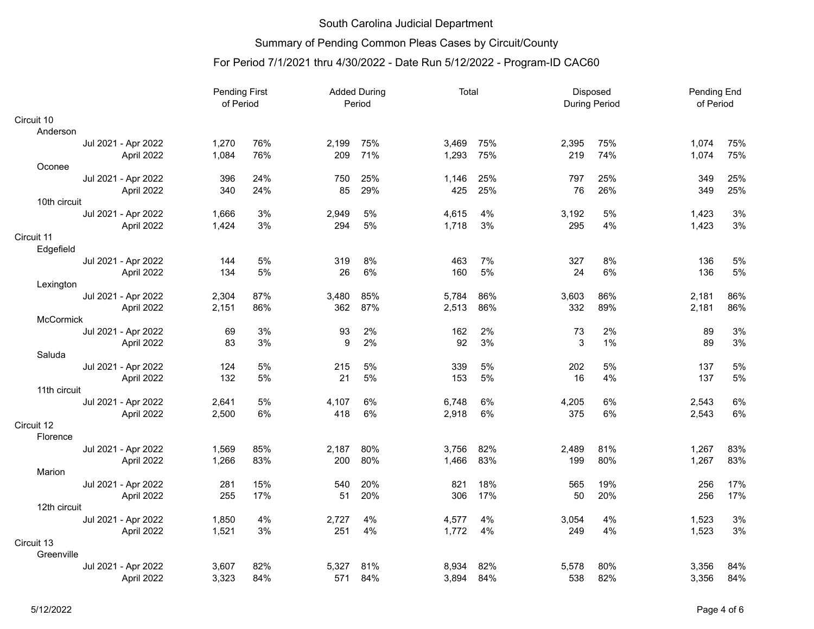# Summary of Pending Common Pleas Cases by Circuit/County

|                     | <b>Pending First</b><br>of Period |     |       | <b>Added During</b><br>Period | Total |     | Disposed<br>During Period |     | Pending End<br>of Period |       |
|---------------------|-----------------------------------|-----|-------|-------------------------------|-------|-----|---------------------------|-----|--------------------------|-------|
| Circuit 10          |                                   |     |       |                               |       |     |                           |     |                          |       |
| Anderson            |                                   |     |       |                               |       |     |                           |     |                          |       |
| Jul 2021 - Apr 2022 | 1,270                             | 76% | 2,199 | 75%                           | 3,469 | 75% | 2,395                     | 75% | 1,074                    | 75%   |
| April 2022          | 1,084                             | 76% | 209   | 71%                           | 1,293 | 75% | 219                       | 74% | 1,074                    | 75%   |
| Oconee              |                                   |     |       |                               |       |     |                           |     |                          |       |
| Jul 2021 - Apr 2022 | 396                               | 24% | 750   | 25%                           | 1,146 | 25% | 797                       | 25% | 349                      | 25%   |
| April 2022          | 340                               | 24% | 85    | 29%                           | 425   | 25% | 76                        | 26% | 349                      | 25%   |
| 10th circuit        |                                   |     |       |                               |       |     |                           |     |                          |       |
| Jul 2021 - Apr 2022 | 1,666                             | 3%  | 2,949 | 5%                            | 4,615 | 4%  | 3,192                     | 5%  | 1,423                    | 3%    |
| April 2022          | 1,424                             | 3%  | 294   | 5%                            | 1,718 | 3%  | 295                       | 4%  | 1,423                    | 3%    |
| Circuit 11          |                                   |     |       |                               |       |     |                           |     |                          |       |
| Edgefield           |                                   |     |       |                               |       |     |                           |     |                          |       |
| Jul 2021 - Apr 2022 | 144                               | 5%  | 319   | 8%                            | 463   | 7%  | 327                       | 8%  | 136                      | 5%    |
| April 2022          | 134                               | 5%  | 26    | 6%                            | 160   | 5%  | 24                        | 6%  | 136                      | 5%    |
| Lexington           |                                   |     |       |                               |       |     |                           |     |                          |       |
| Jul 2021 - Apr 2022 | 2,304                             | 87% | 3,480 | 85%                           | 5,784 | 86% | 3,603                     | 86% | 2,181                    | 86%   |
| April 2022          | 2,151                             | 86% | 362   | 87%                           | 2,513 | 86% | 332                       | 89% | 2,181                    | 86%   |
| McCormick           |                                   |     |       |                               |       |     |                           |     |                          |       |
| Jul 2021 - Apr 2022 | 69                                | 3%  | 93    | 2%                            | 162   | 2%  | 73                        | 2%  | 89                       | 3%    |
| April 2022          | 83                                | 3%  | 9     | 2%                            | 92    | 3%  | 3                         | 1%  | 89                       | 3%    |
| Saluda              |                                   |     |       |                               |       |     |                           |     |                          |       |
| Jul 2021 - Apr 2022 | 124                               | 5%  | 215   | 5%                            | 339   | 5%  | 202                       | 5%  | 137                      | 5%    |
| April 2022          | 132                               | 5%  | 21    | 5%                            | 153   | 5%  | 16                        | 4%  | 137                      | 5%    |
| 11th circuit        |                                   |     |       |                               |       |     |                           |     |                          |       |
| Jul 2021 - Apr 2022 | 2,641                             | 5%  | 4,107 | 6%                            | 6,748 | 6%  | 4,205                     | 6%  | 2,543                    | $6\%$ |
| April 2022          | 2,500                             | 6%  | 418   | 6%                            | 2,918 | 6%  | 375                       | 6%  | 2,543                    | 6%    |
| Circuit 12          |                                   |     |       |                               |       |     |                           |     |                          |       |
| Florence            |                                   |     |       |                               |       |     |                           |     |                          |       |
| Jul 2021 - Apr 2022 | 1,569                             | 85% | 2,187 | 80%                           | 3,756 | 82% | 2,489                     | 81% | 1,267                    | 83%   |
| April 2022          | 1,266                             | 83% | 200   | 80%                           | 1,466 | 83% | 199                       | 80% | 1,267                    | 83%   |
| Marion              |                                   |     |       |                               |       |     |                           |     |                          |       |
| Jul 2021 - Apr 2022 | 281                               | 15% | 540   | 20%                           | 821   | 18% | 565                       | 19% | 256                      | 17%   |
| April 2022          | 255                               | 17% | 51    | 20%                           | 306   | 17% | 50                        | 20% | 256                      | 17%   |
| 12th circuit        |                                   |     |       |                               |       |     |                           |     |                          |       |
| Jul 2021 - Apr 2022 | 1,850                             | 4%  | 2,727 | 4%                            | 4,577 | 4%  | 3,054                     | 4%  | 1,523                    | 3%    |
| April 2022          | 1,521                             | 3%  | 251   | 4%                            | 1,772 | 4%  | 249                       | 4%  | 1,523                    | 3%    |
| Circuit 13          |                                   |     |       |                               |       |     |                           |     |                          |       |
| Greenville          |                                   |     |       |                               |       |     |                           |     |                          |       |
| Jul 2021 - Apr 2022 | 3,607                             | 82% | 5.327 | 81%                           | 8,934 | 82% | 5,578                     | 80% | 3,356                    | 84%   |
| April 2022          | 3,323                             | 84% | 571   | 84%                           | 3,894 | 84% | 538                       | 82% | 3,356                    | 84%   |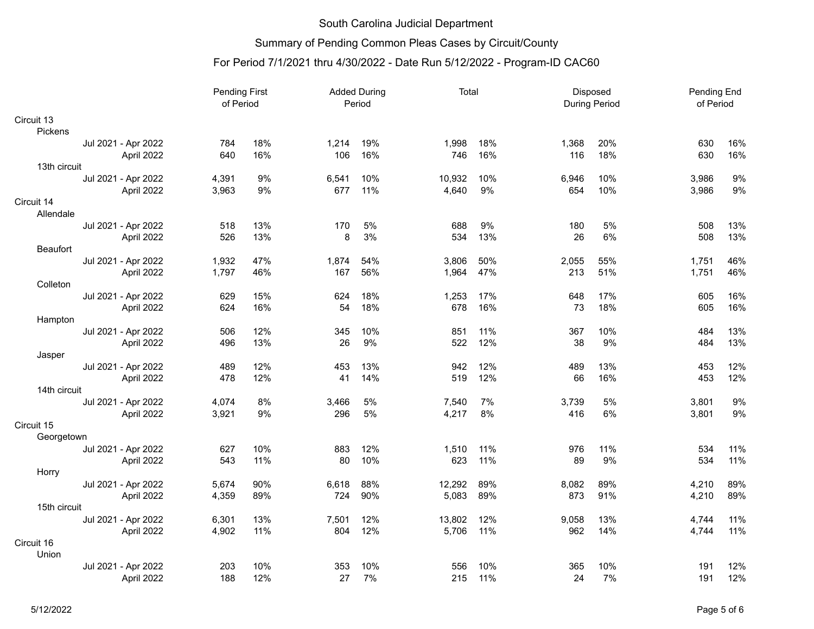# Summary of Pending Common Pleas Cases by Circuit/County

|                                   | <b>Pending First</b><br>of Period |     |       | <b>Added During</b><br>Period | Total  |     |       | Disposed<br><b>During Period</b> |       | Pending End<br>of Period |
|-----------------------------------|-----------------------------------|-----|-------|-------------------------------|--------|-----|-------|----------------------------------|-------|--------------------------|
| Circuit 13                        |                                   |     |       |                               |        |     |       |                                  |       |                          |
| Pickens                           |                                   |     |       |                               |        |     |       |                                  |       |                          |
| Jul 2021 - Apr 2022               | 784                               | 18% | 1,214 | 19%                           | 1,998  | 18% | 1,368 | 20%                              | 630   | 16%                      |
| April 2022                        | 640                               | 16% | 106   | 16%                           | 746    | 16% | 116   | 18%                              | 630   | 16%                      |
| 13th circuit                      |                                   |     |       |                               |        |     |       |                                  |       |                          |
| Jul 2021 - Apr 2022               | 4,391                             | 9%  | 6,541 | 10%                           | 10,932 | 10% | 6,946 | 10%                              | 3,986 | 9%                       |
| April 2022                        | 3,963                             | 9%  | 677   | 11%                           | 4,640  | 9%  | 654   | 10%                              | 3,986 | 9%                       |
| Circuit 14                        |                                   |     |       |                               |        |     |       |                                  |       |                          |
| Allendale                         |                                   |     |       |                               |        |     |       |                                  |       |                          |
| Jul 2021 - Apr 2022               | 518                               | 13% | 170   | 5%                            | 688    | 9%  | 180   | 5%                               | 508   | 13%                      |
| April 2022                        | 526                               | 13% | 8     | 3%                            | 534    | 13% | 26    | 6%                               | 508   | 13%                      |
| Beaufort                          |                                   |     |       |                               |        |     |       |                                  |       |                          |
| Jul 2021 - Apr 2022               | 1,932                             | 47% | 1,874 | 54%                           | 3,806  | 50% | 2,055 | 55%                              | 1,751 | 46%                      |
| April 2022                        | 1,797                             | 46% | 167   | 56%                           | 1,964  | 47% | 213   | 51%                              | 1,751 | 46%                      |
| Colleton                          |                                   |     |       |                               |        |     |       |                                  |       |                          |
| Jul 2021 - Apr 2022               | 629                               | 15% | 624   | 18%                           | 1,253  | 17% | 648   | 17%                              | 605   | 16%                      |
| April 2022                        | 624                               | 16% | 54    | 18%                           | 678    | 16% | 73    | 18%                              | 605   | 16%                      |
| Hampton                           |                                   |     |       |                               |        |     |       |                                  |       |                          |
| Jul 2021 - Apr 2022               | 506                               | 12% | 345   | 10%                           | 851    | 11% | 367   | 10%                              | 484   | 13%                      |
| April 2022                        | 496                               | 13% | 26    | 9%                            | 522    | 12% | 38    | 9%                               | 484   | 13%                      |
| Jasper                            |                                   |     |       |                               |        |     |       |                                  |       |                          |
| Jul 2021 - Apr 2022               | 489                               | 12% | 453   | 13%                           | 942    | 12% | 489   | 13%                              | 453   | 12%                      |
| April 2022                        | 478                               | 12% | 41    | 14%                           | 519    | 12% | 66    | 16%                              | 453   | 12%                      |
| 14th circuit                      |                                   |     |       |                               |        |     |       |                                  |       |                          |
| Jul 2021 - Apr 2022               | 4,074                             | 8%  | 3,466 | 5%                            | 7,540  | 7%  | 3,739 | 5%                               | 3,801 | 9%                       |
| April 2022                        | 3,921                             | 9%  | 296   | 5%                            | 4,217  | 8%  | 416   | 6%                               | 3,801 | 9%                       |
| Circuit 15                        |                                   |     |       |                               |        |     |       |                                  |       |                          |
| Georgetown<br>Jul 2021 - Apr 2022 | 627                               | 10% | 883   | 12%                           | 1,510  | 11% | 976   | 11%                              | 534   | 11%                      |
| April 2022                        | 543                               | 11% | 80    | 10%                           | 623    | 11% | 89    | 9%                               | 534   | 11%                      |
| Horry                             |                                   |     |       |                               |        |     |       |                                  |       |                          |
| Jul 2021 - Apr 2022               | 5,674                             | 90% | 6,618 | 88%                           | 12,292 | 89% | 8,082 | 89%                              | 4,210 | 89%                      |
| April 2022                        | 4,359                             | 89% | 724   | 90%                           | 5,083  | 89% | 873   | 91%                              | 4,210 | 89%                      |
| 15th circuit                      |                                   |     |       |                               |        |     |       |                                  |       |                          |
| Jul 2021 - Apr 2022               | 6,301                             | 13% | 7,501 | 12%                           | 13,802 | 12% | 9,058 | 13%                              | 4,744 | 11%                      |
| April 2022                        | 4,902                             | 11% | 804   | 12%                           | 5,706  | 11% | 962   | 14%                              | 4,744 | 11%                      |
| Circuit 16                        |                                   |     |       |                               |        |     |       |                                  |       |                          |
| Union                             |                                   |     |       |                               |        |     |       |                                  |       |                          |
| Jul 2021 - Apr 2022               | 203                               | 10% | 353   | 10%                           | 556    | 10% | 365   | 10%                              | 191   | 12%                      |
| April 2022                        | 188                               | 12% | 27    | 7%                            | 215    | 11% | 24    | 7%                               | 191   | 12%                      |
|                                   |                                   |     |       |                               |        |     |       |                                  |       |                          |